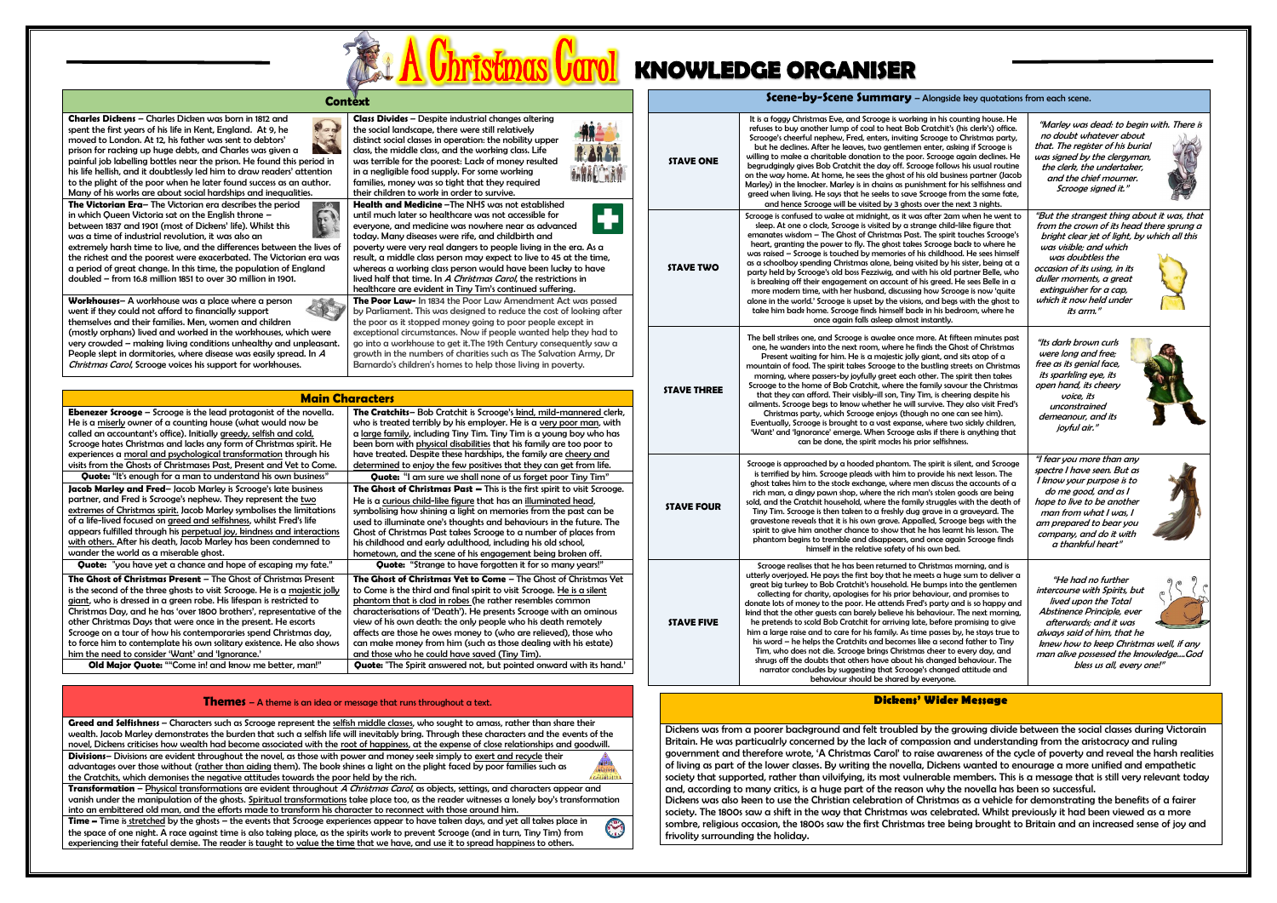

## **KNOWLEDGE ORGANISER**

| <b>Context</b> |  |  |  |
|----------------|--|--|--|
|                |  |  |  |

**Charles Dickens** – Charles Dicken was born in 1812 and spent the first years of his life in Kent, England. At 9, he moved to London. At 12, his father was sent to debtors' prison for racking up huge debts, and Charles was given a painful job labelling bottles near the prison. He found this period in his life hellish, and it doubtlessly led him to draw readers' attention to the plight of the poor when he later found success as an author. Many of his works are about social hardships and inequalities.

**The Victorian Era**– The Victorian era describes the period in which Queen Victoria sat on the English throne – between 1837 and 1901 (most of Dickens' life). Whilst this was a time of industrial revolution, it was also an extremely harsh time to live, and the differences between the lives of the richest and the poorest were exacerbated. The Victorian era was a period of great change. In this time, the population of England doubled – from 16.8 million 1851 to over 30 million in 1901.

**Workhouses**– A workhouse was a place where a person went if they could not afford to financially support themselves and their families. Men, women and children (mostly orphans) lived and worked in the workhouses, which were very crowded – making living conditions unhealthy and unpleasant. People slept in dormitories, where disease was easily spread. In <sup>A</sup> Christmas Carol, Scrooge voices his support for workhouses.

|                                        | Context                                                                                                                                                                                                                                                                                                                                                                                                                                                                                                                                                                                                                                                                                                             | Scene-by-Scene Summary - Alongside key quotations from each scene. |                                                                                                                                                                                                                                                                                                                                                                                                                                                                                                                                                                                                                                                                                                                                                                                                                                                                                                                                                                                                                       |                                                                                                                                                                                                                                                                                                                        |  |
|----------------------------------------|---------------------------------------------------------------------------------------------------------------------------------------------------------------------------------------------------------------------------------------------------------------------------------------------------------------------------------------------------------------------------------------------------------------------------------------------------------------------------------------------------------------------------------------------------------------------------------------------------------------------------------------------------------------------------------------------------------------------|--------------------------------------------------------------------|-----------------------------------------------------------------------------------------------------------------------------------------------------------------------------------------------------------------------------------------------------------------------------------------------------------------------------------------------------------------------------------------------------------------------------------------------------------------------------------------------------------------------------------------------------------------------------------------------------------------------------------------------------------------------------------------------------------------------------------------------------------------------------------------------------------------------------------------------------------------------------------------------------------------------------------------------------------------------------------------------------------------------|------------------------------------------------------------------------------------------------------------------------------------------------------------------------------------------------------------------------------------------------------------------------------------------------------------------------|--|
| in<br>m<br>r.                          | <b>Class Divides - Despite industrial changes altering</b><br>the social landscape, there were still relatively<br>distinct social classes in operation: the nobility upper<br>class, the middle class, and the working class. Life<br>was terrible for the poorest: Lack of money resulted<br>in a negligible food supply. For some working<br>families, money was so tight that they required<br>their children to work in order to survive.<br><b>Health and Medicine</b> - The NHS was not established                                                                                                                                                                                                          | <b>STAVE ONE</b>                                                   | It is a foggy Christmas Eve, and Scrooge is working in his counting house. He<br>refuses to buy another lump of coal to heat Bob Cratchit's (his clerk's) office.<br>Scrooge's cheerful nephew, Fred, enters, inviting Scrooge to Christmas party,<br>but he declines. After he leaves, two gentlemen enter, asking if Scrooge is<br>willing to make a charitable donation to the poor. Scrooge again declines. He<br>begrudgingly gives Bob Cratchit the day off. Scrooge follows his usual routine<br>on the way home. At home, he sees the ghost of his old business partner (Jacob<br>Marley) in the knocker. Marley is in chains as punishment for his selfishness and<br>greed when living. He says that he seeks to save Scrooge from the same fate,<br>and hence Scrooge will be visited by 3 ghosts over the next 3 nights.                                                                                                                                                                                  | "Marley was dead: to begin with. There is<br>no doubt whatever about<br>that. The register of his burial<br>was signed by the clergyman,<br>the clerk, the undertaker,<br>and the chief mourner.<br>Scrooge signed it."                                                                                                |  |
| es of<br>was                           | until much later so healthcare was not accessible for<br>everyone, and medicine was nowhere near as advanced<br>today. Many diseases were rife, and childbirth and<br>poverty were very real dangers to people living in the era. As a<br>result, a middle class person may expect to live to 45 at the time,<br>whereas a working class person would have been lucky to have<br>lived half that time. In A Christmas Carol, the restrictions in<br>healthcare are evident in Tiny Tim's continued suffering.<br>The Poor Law- In 1834 the Poor Law Amendment Act was passed<br>by Parliament. This was designed to reduce the cost of looking after<br>the poor as it stopped money going to poor people except in | <b>STAVE TWO</b>                                                   | Scrooge is confused to wake at midnight, as it was after 2am when he went to<br>sleep. At one o clock, Scrooge is visited by a strange child-like figure that<br>emanates wisdom - The Ghost of Christmas Past. The spirit touches Scrooge's<br>heart, granting the power to fly. The ghost takes Scrooge back to where he<br>was raised - Scrooge is touched by memories of his childhood. He sees himself<br>as a schoolboy spending Christmas alone, being visited by his sister, being at a<br>party held by Scrooge's old boss Fezziwig, and with his old partner Belle, who<br>is breaking off their engagement on account of his greed. He sees Belle in a<br>more modern time, with her husband, discussing how Scrooge is now 'quite<br>alone in the world.' Scrooge is upset by the visions, and begs with the ghost to<br>take him back home. Scrooge finds himself back in his bedroom, where he<br>once again falls asleep almost instantly.                                                             | "But the strangest thing about it was, that<br>from the crown of its head there sprung a<br>bright clear jet of light, by which all this<br>was visible; and which<br>was doubtless the<br>occasion of its using, in its<br>duller moments, a great<br>extinguisher for a cap,<br>which it now held under<br>its arm." |  |
| e<br>ant.<br>la.<br>le                 | exceptional circumstances. Now if people wanted help they had to<br>go into a workhouse to get it. The 19th Century consequently saw a<br>growth in the numbers of charities such as The Salvation Army, Dr<br>Barnardo's children's homes to help those living in poverty.<br><b>1 Characters</b><br>The Cratchits-Bob Cratchit is Scrooge's kind, mild-mannered clerk,<br>who is treated terribly by his employer. He is a very poor man, with<br>a large family, including Tiny Tim. Tiny Tim is a young boy who has<br>been born with physical disabilities that his family are too poor to                                                                                                                     | <b>STAVE THREE</b>                                                 | The bell strikes one, and Scrooge is awake once more. At fifteen minutes past<br>one, he wanders into the next room, where he finds the Ghost of Christmas<br>Present waiting for him. He is a majestic jolly giant, and sits atop of a<br>mountain of food. The spirit takes Scrooge to the bustling streets on Christmas<br>morning, where passers-by joyfully greet each other. The spirit then takes<br>Scrooge to the home of Bob Cratchit, where the family savour the Christmas<br>that they can afford. Their visibly-ill son, Tiny Tim, is cheering despite his<br>ailments. Scrooge begs to know whether he will survive. They also visit Fred's<br>Christmas party, which Scrooge enjoys (though no one can see him).<br>Eventually, Scrooge is brought to a vast expanse, where two sickly children,<br>'Want' and 'Ignorance' emerge. When Scrooge asks if there is anything that<br>can be done, the spirit mocks his prior selfishness.                                                                | "Its dark brown curls<br>were long and free;<br>free as its genial face,<br>its sparkling eye, its<br>open hand, its cheery<br>voice, its<br>unconstrained<br>demeanour, and its<br><i>ioyful air.'</i>                                                                                                                |  |
| ne.<br>ons<br>ions<br>O                | have treated. Despite these hardships, the family are cheery and<br>determined to enjoy the few positives that they can get from life.<br>Quote: "I am sure we shall none of us forget poor Tiny Tim"<br>The Ghost of Christmas Past - This is the first spirit to visit Scrooge.<br>He is a curious child-like figure that has an illuminated head,<br>symbolising how shining a light on memories from the past can be<br>used to illuminate one's thoughts and behaviours in the future. The<br>Ghost of Christmas Past takes Scrooge to a number of places from<br>his childhood and early adulthood, including his old school,<br>hometown, and the scene of his engagement being broken off.                  | <b>STAVE FOUR</b>                                                  | Scrooge is approached by a hooded phantom. The spirit is silent, and Scrooge<br>is terrified by him. Scrooge pleads with him to provide his next lesson. The<br>ghost takes him to the stock exchange, where men discuss the accounts of a<br>rich man, a dingy pawn shop, where the rich man's stolen goods are being<br>sold, and the Cratchit household, where the family struggles with the death of<br>Tiny Tim. Scrooge is then taken to a freshly dug grave in a graveyard. The<br>gravestone reveals that it is his own grave. Appalled, Scrooge begs with the<br>spirit to give him another chance to show that he has learnt his lesson. The<br>phantom begins to tremble and disappears, and once again Scrooge finds<br>himself in the relative safety of his own bed.                                                                                                                                                                                                                                    | "I fear you more than any<br>spectre I have seen. But as<br>I know your purpose is to<br>do me good, and as I<br>hope to live to be another<br>man from what I was, I<br>am prepared to bear you<br>company, and do it with<br>a thankful heart"                                                                       |  |
| 'nt<br><u>olly</u><br>the<br>y,<br>ows | Quote: "Strange to have forgotten it for so many years!"<br>The Ghost of Christmas Yet to Come - The Ghost of Christmas Yet<br>to Come is the third and final spirit to visit Scrooge. He is a silent<br>phantom that is clad in robes (he rather resembles common<br>characterisations of 'Death'). He presents Scrooge with an ominous<br>view of his own death: the only people who his death remotely<br>affects are those he owes money to (who are relieved), those who<br>can make money from him (such as those dealing with his estate)<br>and those who he could have saved (Tiny Tim).<br><b>Quote:</b> "The Spirit answered not, but pointed onward with its hand."                                     | <b>STAVE FIVE</b>                                                  | Scrooge realises that he has been returned to Christmas morning, and is<br>utterly overjoyed. He pays the first boy that he meets a huge sum to deliver a<br>great big turkey to Bob Cratchit's household. He bumps into the gentlemen<br>collecting for charity, apologises for his prior behaviour, and promises to<br>donate lots of money to the poor. He attends Fred's party and is so happy and<br>kind that the other guests can barely believe his behaviour. The next morning,<br>he pretends to scold Bob Cratchit for arriving late, before promising to give<br>him a large raise and to care for his family. As time passes by, he stays true to<br>his word - he helps the Cratchits and becomes like a second father to Tiny<br>Tim, who does not die. Scrooge brings Christmas cheer to every day, and<br>shrugs off the doubts that others have about his changed behaviour. The<br>narrator concludes by suggesting that Scrooge's changed attitude and<br>behaviour should be shared by everyone. | "He had no further<br>intercourse with Spirits, but<br>lived upon the Total<br>Abstinence Principle, ever<br>afterwards; and it was<br>always said of him, that he<br>knew how to keep Christmas well, if any<br>man alive possessed the knowledgeGod<br>bless us all, every one!"                                     |  |

Greed and Selfishness - Characters such as Scrooge represent the selfish middle classes, who sought to amass, rather than share their wealth. Jacob Marley demonstrates the burden that such a selfish life will inevitably bring. Through these characters and the events of the novel, Dickens criticises how wealth had become associated with the root of happiness, at the expense of close relationships and goodwill. **Divisions**– Divisions are evident throughout the novel, as those with power and money seek simply to exert and recycle their advantages over those without (rather than aiding them). The book shines a light on the plight faced by poor families such as c.faratara the Cratchits, which demonises the negative attitudes towards the poor held by the rich.

| <b>Main Characters</b>                                                     |                                                                                 |
|----------------------------------------------------------------------------|---------------------------------------------------------------------------------|
| <b>Ebenezer Scrooge</b> – Scrooge is the lead protagonist of the novella.  | The Cratchits- Bob Cratchit is Scrooge's kind, mild-mannered clerk,             |
| He is a miserly owner of a counting house (what would now be               | who is treated terribly by his employer. He is a very poor man, with            |
| called an accountant's office). Initially greedy, selfish and cold,        | a large family, including Tiny Tim. Tiny Tim is a young boy who has             |
| Scrooge hates Christmas and lacks any form of Christmas spirit. He         | been born with physical disabilities that his family are too poor to            |
| experiences a moral and psychological transformation through his           | have treated. Despite these hardships, the family are cheery and                |
| visits from the Ghosts of Christmases Past, Present and Yet to Come.       | determined to enjoy the few positives that they can get from life.              |
| <b>Quote:</b> "It's enough for a man to understand his own business"       | <b>Quote:</b> "I am sure we shall none of us forget poor Tiny Tim"              |
| Jacob Marley and Fred-Jacob Marley is Scrooge's late business              | <b>The Ghost of Christmas Past - This is the first spirit to visit Scrooge.</b> |
| partner, and Fred is Scrooge's nephew. They represent the two              | He is a curious child-like figure that has an illuminated head,                 |
| extremes of Christmas spirit. Jacob Marley symbolises the limitations      | symbolising how shining a light on memories from the past can be                |
| of a life-lived focused on greed and selfishness, whilst Fred's life       | used to illuminate one's thoughts and behaviours in the future. The             |
| appears fulfilled through his perpetual joy, kindness and interactions     | Ghost of Christmas Past takes Scrooge to a number of places from                |
| with others. After his death, Jacob Marley has been condemned to           | his childhood and early adulthood, including his old school,                    |
| wander the world as a miserable ghost.                                     | hometown, and the scene of his engagement being broken off.                     |
| Quote: "you have yet a chance and hope of escaping my fate."               | <b>Quote:</b> "Strange to have forgotten it for so many years!"                 |
|                                                                            |                                                                                 |
| <b>The Ghost of Christmas Present - The Ghost of Christmas Present</b>     | <b>The Ghost of Christmas Yet to Come - The Ghost of Christmas Yet</b>          |
| is the second of the three ghosts to visit Scrooge. He is a majestic jolly | to Come is the third and final spirit to visit Scrooge. He is a silent          |
| giant, who is dressed in a green robe. His lifespan is restricted to       | phantom that is clad in robes (he rather resembles common                       |
| Christmas Day, and he has 'over 1800 brothers', representative of the      | characterisations of 'Death'). He presents Scrooge with an ominous              |
| other Christmas Days that were once in the present. He escorts             | view of his own death: the only people who his death remotely                   |
| Scrooge on a tour of how his contemporaries spend Christmas day,           | affects are those he owes money to (who are relieved), those who                |
| to force him to contemplate his own solitary existence. He also shows      | can make money from him (such as those dealing with his estate)                 |
| him the need to consider 'Want' and 'Ignorance.'                           | and those who he could have saved (Tiny Tim).                                   |
| <b>Old Major Quote:</b> ""Come in! and know me better, man!"               | <b>Quote:</b> "The Spirit answered not, but pointed onward with its hand."      |

## **Themes** – A theme is an idea or message that runs throughout a text.

**Transformation** – Physical transformations are evident throughout A Christmas Carol, as objects, settings, and characters appear and vanish under the manipulation of the ghosts. Spiritual transformations take place too, as the reader witnesses a lonely boy's transformation into an embittered old man, and the efforts made to transform his character to reconnect with those around him.

**Time –** Time is stretched by the ghosts – the events that Scrooge experiences appear to have taken days, and yet all takes place in the space of one night. A race against time is also taking place, as the spirits work to prevent Scrooge (and in turn, Tiny Tim) from experiencing their fateful demise. The reader is taught to value the time that we have, and use it to spread happiness to others.



| <u>VICITE-NA-VICITE ANTIITIMI</u>              |
|------------------------------------------------|
| It is a foggy Christmas Eve, and Scrooge is wo |
| refuses to buy another lump of coal to heat E  |

## **Dickens' Wider Message**

Dickens was from a poorer background and felt troubled by the growing divide between the social classes during Victorain Britain. He was particualrly concerned by the lack of compassion and understanding from the aristocracy and ruling government and therefore wrote, 'A Christmas Carol' to raise awareness of the cycle of poverty and reveal the harsh realities of living as part of the lower classes. By writing the novella, Dickens wanted to enourage a more unified and empathetic society that supported, rather than vilvifying, its most vulnerable members. This is a message that is still very relevant today and, according to many critics, is a huge part of the reason why the novella has been so successful. Dickens was also keen to use the Christian celebration of Christmas as a vehicle for demonstrating the benefits of a fairer society. The 1800s saw a shift in the way that Christmas was celebrated. Whilst previously it had been viewed as a more sombre, religious occasion, the 1800s saw the first Christmas tree being brought to Britain and an increased sense of joy and frivolity surrounding the holiday.